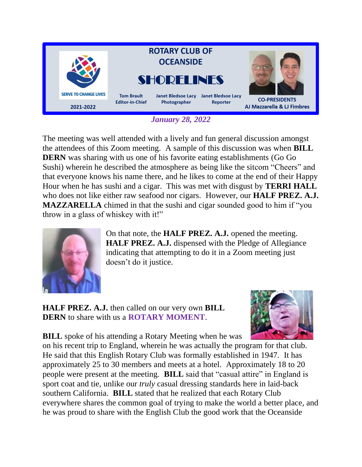

*January 28, 2022*

The meeting was well attended with a lively and fun general discussion amongst the attendees of this Zoom meeting. A sample of this discussion was when **BILL DERN** was sharing with us one of his favorite eating establishments (Go Go Sushi) wherein he described the atmosphere as being like the sitcom "Cheers" and that everyone knows his name there, and he likes to come at the end of their Happy Hour when he has sushi and a cigar. This was met with disgust by **TERRI HALL** who does not like either raw seafood nor cigars. However, our **HALF PREZ. A.J. MAZZARELLA** chimed in that the sushi and cigar sounded good to him if "you throw in a glass of whiskey with it!"



On that note, the **HALF PREZ. A.J.** opened the meeting. **HALF PREZ. A.J.** dispensed with the Pledge of Allegiance indicating that attempting to do it in a Zoom meeting just doesn't do it justice.

**HALF PREZ. A.J.** then called on our very own **BILL DERN** to share with us a **ROTARY MOMENT**.



**BILL** spoke of his attending a Rotary Meeting when he was

on his recent trip to England, wherein he was actually the program for that club. He said that this English Rotary Club was formally established in 1947. It has approximately 25 to 30 members and meets at a hotel. Approximately 18 to 20 people were present at the meeting. **BILL** said that "casual attire" in England is sport coat and tie, unlike our *truly* casual dressing standards here in laid-back southern California. **BILL** stated that he realized that each Rotary Club everywhere shares the common goal of trying to make the world a better place, and he was proud to share with the English Club the good work that the Oceanside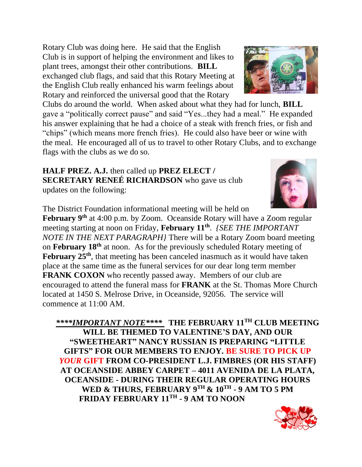Rotary Club was doing here. He said that the English Club is in support of helping the environment and likes to plant trees, amongst their other contributions. **BILL** exchanged club flags, and said that this Rotary Meeting at the English Club really enhanced his warm feelings about Rotary and reinforced the universal good that the Rotary

Clubs do around the world. When asked about what they had for lunch, **BILL** gave a "politically correct pause" and said "Yes...they had a meal." He expanded his answer explaining that he had a choice of a steak with french fries, or fish and "chips" (which means more french fries). He could also have beer or wine with the meal. He encouraged all of us to travel to other Rotary Clubs, and to exchange flags with the clubs as we do so.

**HALF PREZ. A.J.** then called up **PREZ ELECT / SECRETARY RENEÉ RICHARDSON** who gave us club updates on the following:

The District Foundation informational meeting will be held on

February 9<sup>th</sup> at 4:00 p.m. by Zoom. Oceanside Rotary will have a Zoom regular meeting starting at noon on Friday, **February 11th** . *{SEE THE IMPORTANT NOTE IN THE NEXT PARAGRAPH}* There will be a Rotary Zoom board meeting on **February 18th** at noon. As for the previously scheduled Rotary meeting of **February 25th**, that meeting has been canceled inasmuch as it would have taken place at the same time as the funeral services for our dear long term member **FRANK COXON** who recently passed away. Members of our club are encouraged to attend the funeral mass for **FRANK** at the St. Thomas More Church located at 1450 S. Melrose Drive, in Oceanside, 92056. The service will commence at 11:00 AM.

*\*\*\*\*IMPORTANT NOTE\*\*\*\** **THE FEBRUARY 11TH CLUB MEETING WILL BE THEMED TO VALENTINE'S DAY, AND OUR "SWEETHEART" NANCY RUSSIAN IS PREPARING "LITTLE GIFTS" FOR OUR MEMBERS TO ENJOY. BE SURE TO PICK UP**  *YOUR* **GIFT FROM CO-PRESIDENT L.J. FIMBRES (OR HIS STAFF) AT OCEANSIDE ABBEY CARPET – 4011 AVENIDA DE LA PLATA, OCEANSIDE - DURING THEIR REGULAR OPERATING HOURS WED & THURS, FEBRUARY 9TH & 10TH - 9 AM TO 5 PM FRIDAY FEBRUARY 11TH - 9 AM TO NOON**







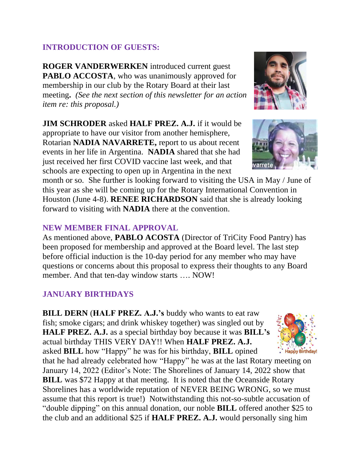## **INTRODUCTION OF GUESTS:**

**ROGER VANDERWERKEN** introduced current guest **PABLO ACCOSTA**, who was unanimously approved for membership in our club by the Rotary Board at their last meeting**.** *(See the next section of this newsletter for an action item re: this proposal.)*

**JIM SCHRODER** asked **HALF PREZ. A.J.** if it would be appropriate to have our visitor from another hemisphere, Rotarian **NADIA NAVARRETE,** report to us about recent events in her life in Argentina. **NADIA** shared that she had just received her first COVID vaccine last week, and that schools are expecting to open up in Argentina in the next

month or so. She further is looking forward to visiting the USA in May / June of this year as she will be coming up for the Rotary International Convention in Houston (June 4-8). **RENEE RICHARDSON** said that she is already looking forward to visiting with **NADIA** there at the convention.

## **NEW MEMBER FINAL APPROVAL**

As mentioned above, **PABLO ACOSTA** (Director of TriCity Food Pantry) has been proposed for membership and approved at the Board level. The last step before official induction is the 10-day period for any member who may have questions or concerns about this proposal to express their thoughts to any Board member. And that ten-day window starts …. NOW!

# **JANUARY BIRTHDAYS**

**BILL DERN** (**HALF PREZ. A.J.'s** buddy who wants to eat raw fish; smoke cigars; and drink whiskey together) was singled out by **HALF PREZ. A.J.** as a special birthday boy because it was **BILL's**  actual birthday THIS VERY DAY!! When **HALF PREZ. A.J.** asked **BILL** how "Happy" he was for his birthday, **BILL** opined

that he had already celebrated how "Happy" he was at the last Rotary meeting on January 14, 2022 (Editor's Note: The Shorelines of January 14, 2022 show that **BILL** was \$72 Happy at that meeting. It is noted that the Oceanside Rotary Shorelines has a worldwide reputation of NEVER BEING WRONG, so we must assume that this report is true!) Notwithstanding this not-so-subtle accusation of "double dipping" on this annual donation, our noble **BILL** offered another \$25 to the club and an additional \$25 if **HALF PREZ. A.J.** would personally sing him





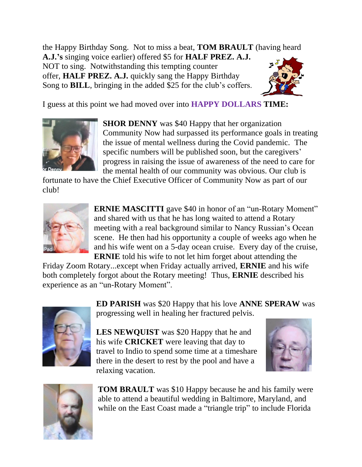the Happy Birthday Song. Not to miss a beat, **TOM BRAULT** (having heard **A.J.'s** singing voice earlier) offered \$5 for **HALF PREZ. A.J.** NOT to sing. Notwithstanding this tempting counter

offer, **HALF PREZ. A.J.** quickly sang the Happy Birthday Song to **BILL**, bringing in the added \$25 for the club's coffers.



I guess at this point we had moved over into **HAPPY DOLLARS TIME:**



**SHOR DENNY** was \$40 Happy that her organization Community Now had surpassed its performance goals in treating the issue of mental wellness during the Covid pandemic. The specific numbers will be published soon, but the caregivers' progress in raising the issue of awareness of the need to care for the mental health of our community was obvious. Our club is

fortunate to have the Chief Executive Officer of Community Now as part of our club!



**ERNIE MASCITTI** gave \$40 in honor of an "un-Rotary Moment" and shared with us that he has long waited to attend a Rotary meeting with a real background similar to Nancy Russian's Ocean scene. He then had his opportunity a couple of weeks ago when he and his wife went on a 5-day ocean cruise. Every day of the cruise, **ERNIE** told his wife to not let him forget about attending the

Friday Zoom Rotary...except when Friday actually arrived, **ERNIE** and his wife both completely forgot about the Rotary meeting! Thus, **ERNIE** described his experience as an "un-Rotary Moment".



**ED PARISH** was \$20 Happy that his love **ANNE SPERAW** was progressing well in healing her fractured pelvis.

**LES NEWQUIST** was \$20 Happy that he and his wife **CRICKET** were leaving that day to travel to Indio to spend some time at a timeshare there in the desert to rest by the pool and have a relaxing vacation.





**TOM BRAULT** was \$10 Happy because he and his family were able to attend a beautiful wedding in Baltimore, Maryland, and while on the East Coast made a "triangle trip" to include Florida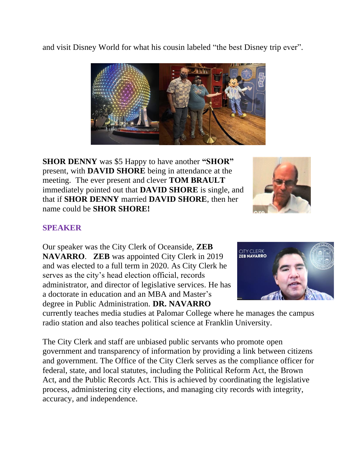and visit Disney World for what his cousin labeled "the best Disney trip ever".



**SHOR DENNY** was \$5 Happy to have another **"SHOR"**  present, with **DAVID SHORE** being in attendance at the meeting. The ever present and clever **TOM BRAULT**  immediately pointed out that **DAVID SHORE** is single, and that if **SHOR DENNY** married **DAVID SHORE**, then her name could be **SHOR SHORE!**



## **SPEAKER**

Our speaker was the City Clerk of Oceanside, **ZEB NAVARRO**. **ZEB** was appointed City Clerk in 2019 and was elected to a full term in 2020. As City Clerk he serves as the city's head election official, records administrator, and director of legislative services. He has a doctorate in education and an MBA and Master's degree in Public Administration. **DR. NAVARRO** 



currently teaches media studies at Palomar College where he manages the campus radio station and also teaches political science at Franklin University.

The City Clerk and staff are unbiased public servants who promote open government and transparency of information by providing a link between citizens and government. The Office of the City Clerk serves as the compliance officer for federal, state, and local statutes, including the Political Reform Act, the Brown Act, and the Public Records Act. This is achieved by coordinating the legislative process, administering city elections, and managing city records with integrity, accuracy, and independence.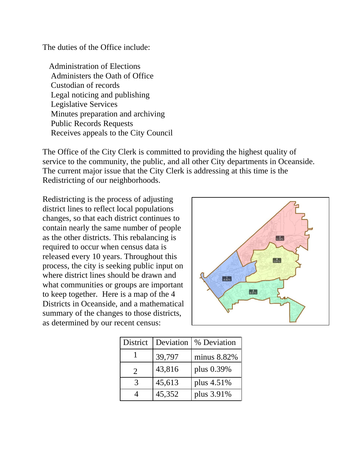The duties of the Office include:

 Administration of Elections Administers the Oath of Office Custodian of records Legal noticing and publishing Legislative Services Minutes preparation and archiving Public Records Requests Receives appeals to the City Council

The Office of the City Clerk is committed to providing the highest quality of service to the community, the public, and all other City departments in Oceanside. The current major issue that the City Clerk is addressing at this time is the Redistricting of our neighborhoods.

Redistricting is the process of adjusting district lines to reflect local populations changes, so that each district continues to contain nearly the same number of people as the other districts. This rebalancing is required to occur when census data is released every 10 years. Throughout this process, the city is seeking public input on where district lines should be drawn and what communities or groups are important to keep together. Here is a map of the 4 Districts in Oceanside, and a mathematical summary of the changes to those districts, as determined by our recent census:



| District                    | Deviation | % Deviation |
|-----------------------------|-----------|-------------|
|                             | 39,797    | minus 8.82% |
| $\mathcal{D}_{\mathcal{L}}$ | 43,816    | plus 0.39%  |
| 3                           | 45,613    | plus 4.51%  |
|                             | 45,352    | plus 3.91%  |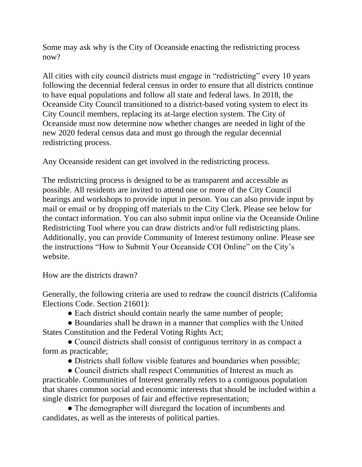Some may ask why is the City of Oceanside enacting the redistricting process now?

All cities with city council districts must engage in "redistricting" every 10 years following the decennial federal census in order to ensure that all districts continue to have equal populations and follow all state and federal laws. In 2018, the Oceanside City Council transitioned to a district-based voting system to elect its City Council members, replacing its at-large election system. The City of Oceanside must now determine now whether changes are needed in light of the new 2020 federal census data and must go through the regular decennial redistricting process.

Any Oceanside resident can get involved in the redistricting process.

The redistricting process is designed to be as transparent and accessible as possible. All residents are invited to attend one or more of the City Council hearings and workshops to provide input in person. You can also provide input by mail or email or by dropping off materials to the City Clerk. Please see below for the contact information. You can also submit input online via the Oceanside Online Redistricting Tool where you can draw districts and/or full redistricting plans. Additionally, you can provide Community of Interest testimony online. Please see the instructions "How to Submit Your Oceanside COI Online" on the City's website.

How are the districts drawn?

Generally, the following criteria are used to redraw the council districts (California Elections Code. Section 21601):

• Each district should contain nearly the same number of people;

 ● Boundaries shall be drawn in a manner that complies with the United States Constitution and the Federal Voting Rights Act;

 ● Council districts shall consist of contiguous territory in as compact a form as practicable;

• Districts shall follow visible features and boundaries when possible;

 ● Council districts shall respect Communities of Interest as much as practicable. Communities of Interest generally refers to a contiguous population that shares common social and economic interests that should be included within a single district for purposes of fair and effective representation;

• The demographer will disregard the location of incumbents and candidates, as well as the interests of political parties.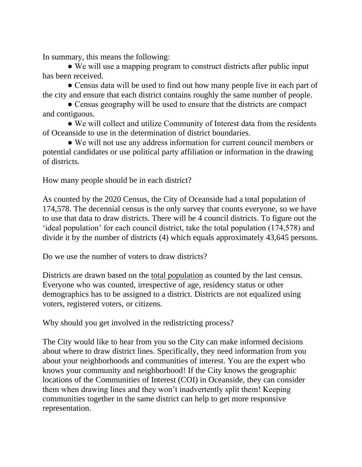In summary, this means the following:

 ● We will use a mapping program to construct districts after public input has been received.

• Census data will be used to find out how many people live in each part of the city and ensure that each district contains roughly the same number of people.

• Census geography will be used to ensure that the districts are compact and contiguous.

• We will collect and utilize Community of Interest data from the residents of Oceanside to use in the determination of district boundaries.

 ● We will not use any address information for current council members or potential candidates or use political party affiliation or information in the drawing of districts.

How many people should be in each district?

As counted by the 2020 Census, the City of Oceanside had a total population of 174,578. The decennial census is the only survey that counts everyone, so we have to use that data to draw districts. There will be 4 council districts. To figure out the 'ideal population' for each council district, take the total population (174,578) and divide it by the number of districts (4) which equals approximately 43,645 persons.

Do we use the number of voters to draw districts?

Districts are drawn based on the total population as counted by the last census. Everyone who was counted, irrespective of age, residency status or other demographics has to be assigned to a district. Districts are not equalized using voters, registered voters, or citizens.

Why should you get involved in the redistricting process?

The City would like to hear from you so the City can make informed decisions about where to draw district lines. Specifically, they need information from you about your neighborhoods and communities of interest. You are the expert who knows your community and neighborhood! If the City knows the geographic locations of the Communities of Interest (COI) in Oceanside, they can consider them when drawing lines and they won't inadvertently split them! Keeping communities together in the same district can help to get more responsive representation.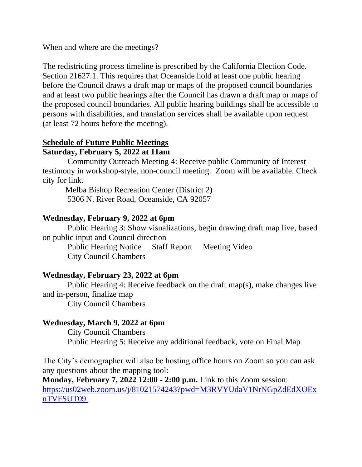When and where are the meetings?

The redistricting process timeline is prescribed by the California Election Code. Section 21627.1. This requires that Oceanside hold at least one public hearing before the Council draws a draft map or maps of the proposed council boundaries and at least two public hearings after the Council has drawn a draft map or maps of the proposed council boundaries. All public hearing buildings shall be accessible to persons with disabilities, and translation services shall be available upon request (at least 72 hours before the meeting).

#### **Schedule of Future Public Meetings Saturday, February 5, 2022 at 11am**

 Community Outreach Meeting 4: Receive public Community of Interest testimony in workshop-style, non-council meeting. Zoom will be available. Check city for link.

 Melba Bishop Recreation Center (District 2) 5306 N. River Road, Oceanside, CA 92057

#### **Wednesday, February 9, 2022 at 6pm**

 Public Hearing 3: Show visualizations, begin drawing draft map live, based on public input and Council direction

 Public Hearing Notice Staff Report Meeting Video City Council Chambers

#### **Wednesday, February 23, 2022 at 6pm**

 Public Hearing 4: Receive feedback on the draft map(s), make changes live and in-person, finalize map City Council Chambers

## **Wednesday, March 9, 2022 at 6pm**

 City Council Chambers Public Hearing 5: Receive any additional feedback, vote on Final Map

The City's demographer will also be hosting office hours on Zoom so you can ask any questions about the mapping tool:

**Monday, February 7, 2022 12:00 - 2:00 p.m.** Link to this Zoom session: [https://us02web.zoom.us/j/81021574243?pwd=M3RVYUdaV1NrNGpZdEdXOEx](https://us02web.zoom.us/j/81021574243?pwd=M3RVYUdaV1NrNGpZdEdXOExnTVFSUT09) [nTVFSUT09](https://us02web.zoom.us/j/81021574243?pwd=M3RVYUdaV1NrNGpZdEdXOExnTVFSUT09)